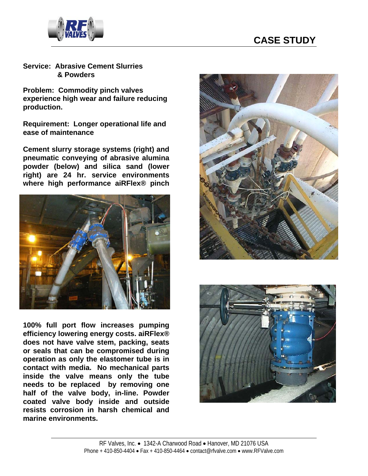



**Service: Abrasive Cement Slurries & Powders**

**Problem: Commodity pinch valves experience high wear and failure reducing production.** 

**Requirement: Longer operational life and ease of maintenance** 

**Cement slurry storage systems (right) and pneumatic conveying of abrasive alumina powder (below) and silica sand (lower right) are 24 hr. service environments where high performance aiRFlex® pinch** 



**100% full port flow increases pumping efficiency lowering energy costs. aiRFlex® does not have valve stem, packing, seats or seals that can be compromised during operation as only the elastomer tube is in contact with media. No mechanical parts inside the valve means only the tube needs to be replaced by removing one half of the valve body, in-line. Powder coated valve body inside and outside resists corrosion in harsh chemical and marine environments.**